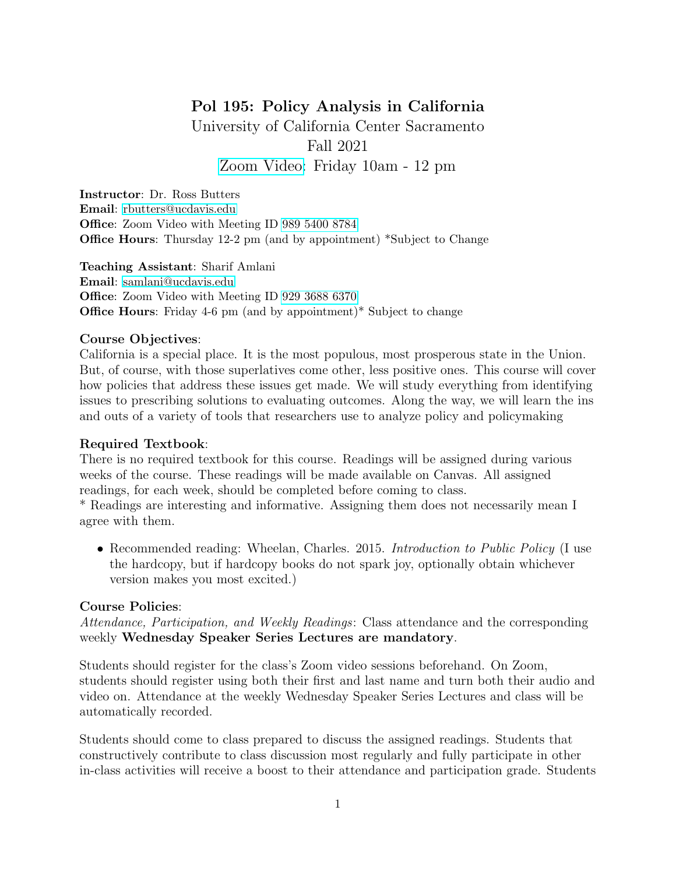# Pol 195: Policy Analysis in California

University of California Center Sacramento Fall 2021 [Zoom Video:](https://ucdavis.zoom.us/j/98911165627) Friday 10am - 12 pm

Instructor: Dr. Ross Butters Email: [rbutters@ucdavis.edu](mailto:rbutters@ucdavis.edu) Office: Zoom Video with Meeting ID [989 5400 8784](https://ucdavis.zoom.us/j/98954008784) Office Hours: Thursday 12-2 pm (and by appointment) \*Subject to Change

Teaching Assistant: Sharif Amlani Email: [samlani@ucdavis.edu](mailto:samlani@ucdavis.edu) Office: Zoom Video with Meeting ID [929 3688 6370](https://ucdavis.zoom.us/j/92936886370) Office Hours: Friday 4-6 pm (and by appointment)\* Subject to change

#### Course Objectives:

California is a special place. It is the most populous, most prosperous state in the Union. But, of course, with those superlatives come other, less positive ones. This course will cover how policies that address these issues get made. We will study everything from identifying issues to prescribing solutions to evaluating outcomes. Along the way, we will learn the ins and outs of a variety of tools that researchers use to analyze policy and policymaking

## Required Textbook:

There is no required textbook for this course. Readings will be assigned during various weeks of the course. These readings will be made available on Canvas. All assigned readings, for each week, should be completed before coming to class.

\* Readings are interesting and informative. Assigning them does not necessarily mean I agree with them.

• Recommended reading: Wheelan, Charles. 2015. *Introduction to Public Policy* (I use the hardcopy, but if hardcopy books do not spark joy, optionally obtain whichever version makes you most excited.)

## Course Policies:

Attendance, Participation, and Weekly Readings: Class attendance and the corresponding weekly Wednesday Speaker Series Lectures are mandatory.

Students should register for the class's Zoom video sessions beforehand. On Zoom, students should register using both their first and last name and turn both their audio and video on. Attendance at the weekly Wednesday Speaker Series Lectures and class will be automatically recorded.

Students should come to class prepared to discuss the assigned readings. Students that constructively contribute to class discussion most regularly and fully participate in other in-class activities will receive a boost to their attendance and participation grade. Students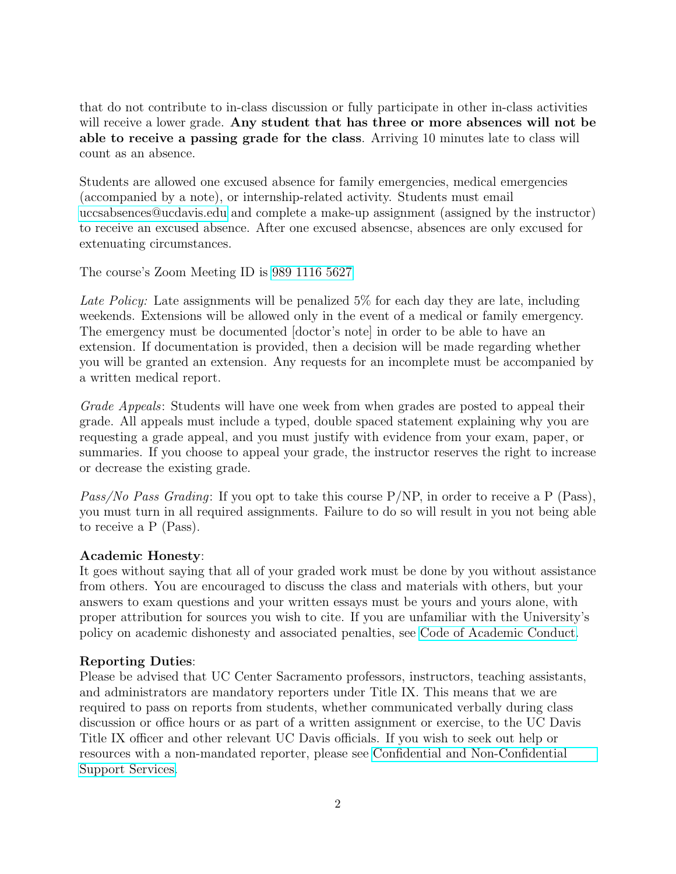that do not contribute to in-class discussion or fully participate in other in-class activities will receive a lower grade. Any student that has three or more absences will not be able to receive a passing grade for the class. Arriving 10 minutes late to class will count as an absence.

Students are allowed one excused absence for family emergencies, medical emergencies (accompanied by a note), or internship-related activity. Students must email [uccsabsences@ucdavis.edu](mailto:uccsabsences@ucdavis.edu) and complete a make-up assignment (assigned by the instructor) to receive an excused absence. After one excused absencse, absences are only excused for extenuating circumstances.

The course's Zoom Meeting ID is [989 1116 5627](https://ucdavis.zoom.us/j/98911165627)

Late Policy: Late assignments will be penalized 5% for each day they are late, including weekends. Extensions will be allowed only in the event of a medical or family emergency. The emergency must be documented [doctor's note] in order to be able to have an extension. If documentation is provided, then a decision will be made regarding whether you will be granted an extension. Any requests for an incomplete must be accompanied by a written medical report.

Grade Appeals: Students will have one week from when grades are posted to appeal their grade. All appeals must include a typed, double spaced statement explaining why you are requesting a grade appeal, and you must justify with evidence from your exam, paper, or summaries. If you choose to appeal your grade, the instructor reserves the right to increase or decrease the existing grade.

Pass/No Pass Grading: If you opt to take this course P/NP, in order to receive a P (Pass), you must turn in all required assignments. Failure to do so will result in you not being able to receive a P (Pass).

## Academic Honesty:

It goes without saying that all of your graded work must be done by you without assistance from others. You are encouraged to discuss the class and materials with others, but your answers to exam questions and your written essays must be yours and yours alone, with proper attribution for sources you wish to cite. If you are unfamiliar with the University's policy on academic dishonesty and associated penalties, see [Code of Academic Conduct.](https://ossja.ucdavis.edu/code-academic-conduct?utm_source=sja&utm_medium=redirect-page)

## Reporting Duties:

Please be advised that UC Center Sacramento professors, instructors, teaching assistants, and administrators are mandatory reporters under Title IX. This means that we are required to pass on reports from students, whether communicated verbally during class discussion or office hours or as part of a written assignment or exercise, to the UC Davis Title IX officer and other relevant UC Davis officials. If you wish to seek out help or resources with a non-mandated reporter, please see [Confidential and Non-Confidential](https://sexualviolence.ucdavis.edu/get-support) [Support Services.](https://sexualviolence.ucdavis.edu/get-support)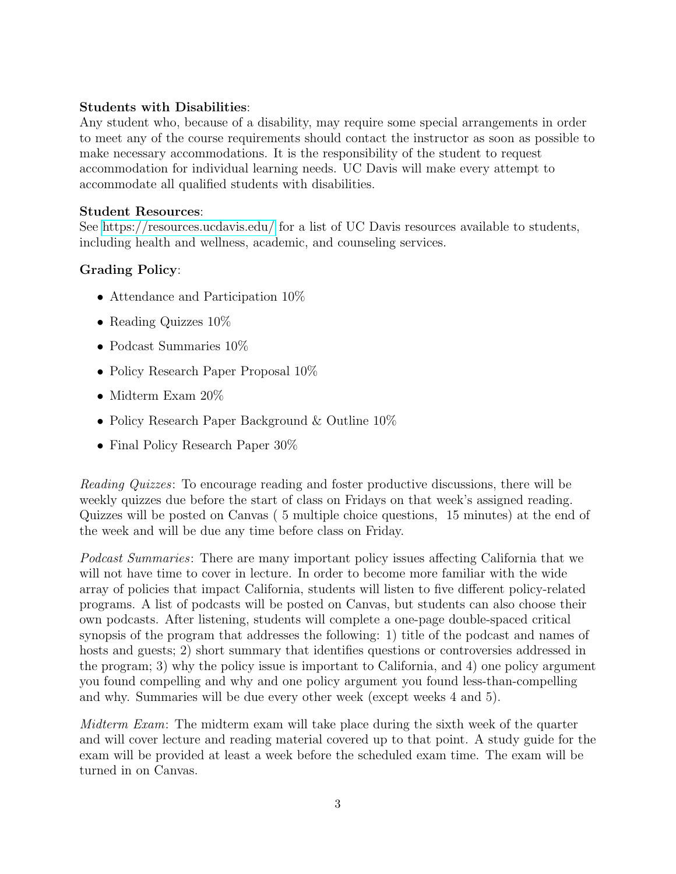#### Students with Disabilities:

Any student who, because of a disability, may require some special arrangements in order to meet any of the course requirements should contact the instructor as soon as possible to make necessary accommodations. It is the responsibility of the student to request accommodation for individual learning needs. UC Davis will make every attempt to accommodate all qualified students with disabilities.

#### Student Resources:

See<https://resources.ucdavis.edu/> for a list of UC Davis resources available to students, including health and wellness, academic, and counseling services.

## Grading Policy:

- Attendance and Participation 10\%
- Reading Quizzes  $10\%$
- Podcast Summaries 10%
- Policy Research Paper Proposal  $10\%$
- Midterm Exam 20%
- Policy Research Paper Background & Outline  $10\%$
- Final Policy Research Paper 30%

Reading Quizzes: To encourage reading and foster productive discussions, there will be weekly quizzes due before the start of class on Fridays on that week's assigned reading. Quizzes will be posted on Canvas ( 5 multiple choice questions, 15 minutes) at the end of the week and will be due any time before class on Friday.

Podcast Summaries: There are many important policy issues affecting California that we will not have time to cover in lecture. In order to become more familiar with the wide array of policies that impact California, students will listen to five different policy-related programs. A list of podcasts will be posted on Canvas, but students can also choose their own podcasts. After listening, students will complete a one-page double-spaced critical synopsis of the program that addresses the following: 1) title of the podcast and names of hosts and guests; 2) short summary that identifies questions or controversies addressed in the program; 3) why the policy issue is important to California, and 4) one policy argument you found compelling and why and one policy argument you found less-than-compelling and why. Summaries will be due every other week (except weeks 4 and 5).

Midterm Exam: The midterm exam will take place during the sixth week of the quarter and will cover lecture and reading material covered up to that point. A study guide for the exam will be provided at least a week before the scheduled exam time. The exam will be turned in on Canvas.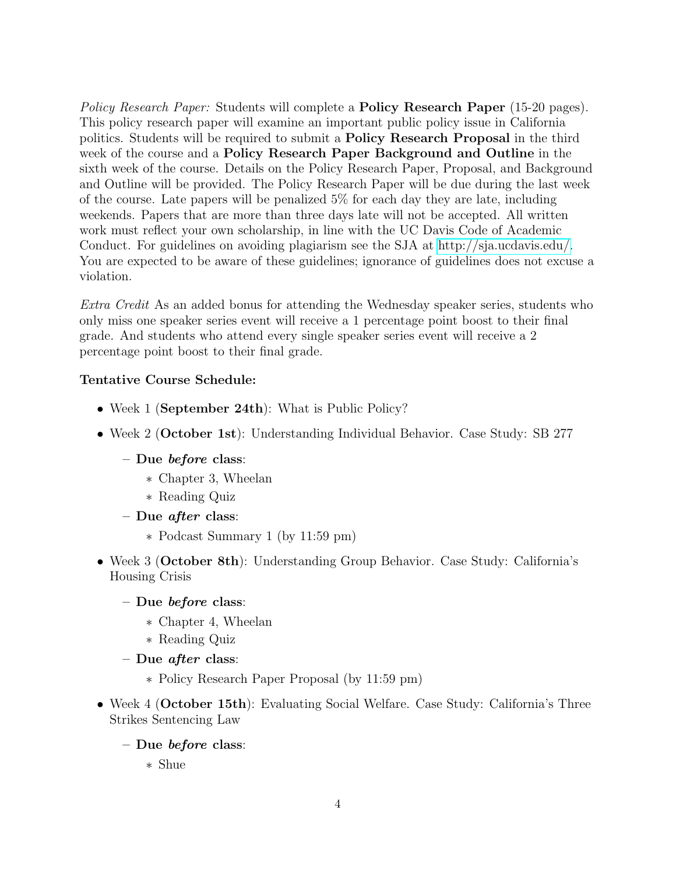Policy Research Paper: Students will complete a **Policy Research Paper** (15-20 pages). This policy research paper will examine an important public policy issue in California politics. Students will be required to submit a Policy Research Proposal in the third week of the course and a Policy Research Paper Background and Outline in the sixth week of the course. Details on the Policy Research Paper, Proposal, and Background and Outline will be provided. The Policy Research Paper will be due during the last week of the course. Late papers will be penalized 5% for each day they are late, including weekends. Papers that are more than three days late will not be accepted. All written work must reflect your own scholarship, in line with the UC Davis Code of Academic Conduct. For guidelines on avoiding plagiarism see the SJA at [http://sja.ucdavis.edu/.](http://sja.ucdavis.edu/) You are expected to be aware of these guidelines; ignorance of guidelines does not excuse a violation.

Extra Credit As an added bonus for attending the Wednesday speaker series, students who only miss one speaker series event will receive a 1 percentage point boost to their final grade. And students who attend every single speaker series event will receive a 2 percentage point boost to their final grade.

#### Tentative Course Schedule:

- Week 1 (September 24th): What is Public Policy?
- Week 2 (October 1st): Understanding Individual Behavior. Case Study: SB 277
	- Due before class:
		- ∗ Chapter 3, Wheelan
		- ∗ Reading Quiz
	- Due *after* class:
		- ∗ Podcast Summary 1 (by 11:59 pm)
- Week 3 (October 8th): Understanding Group Behavior. Case Study: California's Housing Crisis
	- Due before class:
		- ∗ Chapter 4, Wheelan
		- ∗ Reading Quiz
	- Due *after* class:
		- ∗ Policy Research Paper Proposal (by 11:59 pm)
- Week 4 (October 15th): Evaluating Social Welfare. Case Study: California's Three Strikes Sentencing Law
	- Due before class:
		- ∗ Shue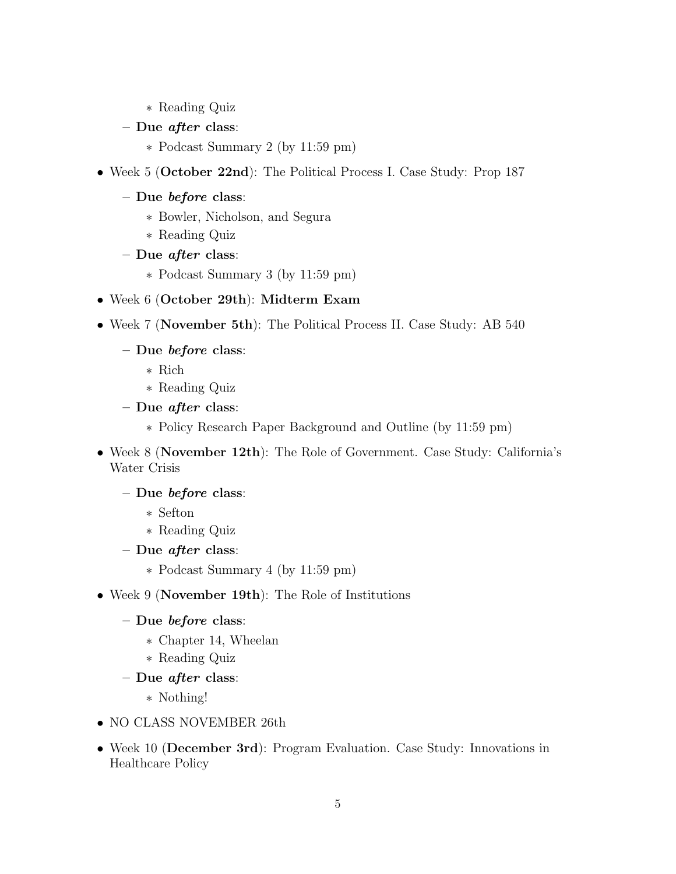- ∗ Reading Quiz
- Due *after* class:
	- ∗ Podcast Summary 2 (by 11:59 pm)
- Week 5 (October 22nd): The Political Process I. Case Study: Prop 187
	- Due before class:
		- ∗ Bowler, Nicholson, and Segura
		- ∗ Reading Quiz
	- Due *after* class:
		- ∗ Podcast Summary 3 (by 11:59 pm)
- Week 6 (October 29th): Midterm Exam
- Week 7 (November 5th): The Political Process II. Case Study: AB 540
	- Due before class:
		- ∗ Rich
		- ∗ Reading Quiz
	- Due after class:
		- ∗ Policy Research Paper Background and Outline (by 11:59 pm)
- Week 8 (November 12th): The Role of Government. Case Study: California's Water Crisis

#### – Due before class:

- ∗ Sefton
- ∗ Reading Quiz
- Due *after* class:
	- ∗ Podcast Summary 4 (by 11:59 pm)
- Week 9 (November 19th): The Role of Institutions
	- Due before class:
		- ∗ Chapter 14, Wheelan
		- ∗ Reading Quiz
	- Due *after* class:
		- ∗ Nothing!
- NO CLASS NOVEMBER 26th
- Week 10 (December 3rd): Program Evaluation. Case Study: Innovations in Healthcare Policy